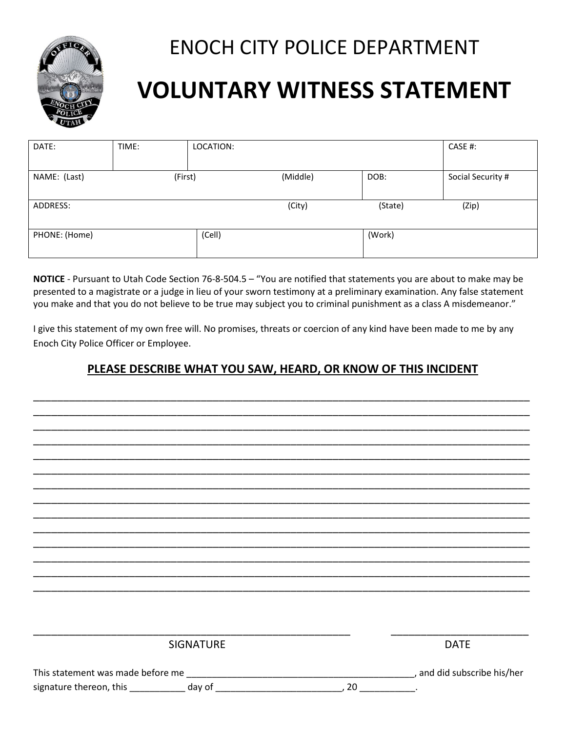

## ENOCH CITY POLICE DEPARTMENT

## **VOLUNTARY WITNESS STATEMENT**

| DATE:         | TIME:   | LOCATION: |          |         | CASE #:           |
|---------------|---------|-----------|----------|---------|-------------------|
|               |         |           |          |         |                   |
| NAME: (Last)  | (First) |           | (Middle) | DOB:    | Social Security # |
|               |         |           |          |         |                   |
| ADDRESS:      |         |           | (City)   | (State) | (Zip)             |
|               |         |           |          |         |                   |
| PHONE: (Home) |         | (Cell)    |          | (Work)  |                   |
|               |         |           |          |         |                   |

**NOTICE** - Pursuant to Utah Code Section 76-8-504.5 – "You are notified that statements you are about to make may be presented to a magistrate or a judge in lieu of your sworn testimony at a preliminary examination. Any false statement you make and that you do not believe to be true may subject you to criminal punishment as a class A misdemeanor."

I give this statement of my own free will. No promises, threats or coercion of any kind have been made to me by any Enoch City Police Officer or Employee.

## **PLEASE DESCRIBE WHAT YOU SAW, HEARD, OR KNOW OF THIS INCIDENT**

\_\_\_\_\_\_\_\_\_\_\_\_\_\_\_\_\_\_\_\_\_\_\_\_\_\_\_\_\_\_\_\_\_\_\_\_\_\_\_\_\_\_\_\_\_\_\_\_\_\_\_\_\_\_\_\_\_\_\_\_\_\_\_\_\_\_\_\_\_\_\_\_\_\_\_\_\_\_\_\_\_\_\_ \_\_\_\_\_\_\_\_\_\_\_\_\_\_\_\_\_\_\_\_\_\_\_\_\_\_\_\_\_\_\_\_\_\_\_\_\_\_\_\_\_\_\_\_\_\_\_\_\_\_\_\_\_\_\_\_\_\_\_\_\_\_\_\_\_\_\_\_\_\_\_\_\_\_\_\_\_\_\_\_\_\_\_ \_\_\_\_\_\_\_\_\_\_\_\_\_\_\_\_\_\_\_\_\_\_\_\_\_\_\_\_\_\_\_\_\_\_\_\_\_\_\_\_\_\_\_\_\_\_\_\_\_\_\_\_\_\_\_\_\_\_\_\_\_\_\_\_\_\_\_\_\_\_\_\_\_\_\_\_\_\_\_\_\_\_\_ \_\_\_\_\_\_\_\_\_\_\_\_\_\_\_\_\_\_\_\_\_\_\_\_\_\_\_\_\_\_\_\_\_\_\_\_\_\_\_\_\_\_\_\_\_\_\_\_\_\_\_\_\_\_\_\_\_\_\_\_\_\_\_\_\_\_\_\_\_\_\_\_\_\_\_\_\_\_\_\_\_\_\_ \_\_\_\_\_\_\_\_\_\_\_\_\_\_\_\_\_\_\_\_\_\_\_\_\_\_\_\_\_\_\_\_\_\_\_\_\_\_\_\_\_\_\_\_\_\_\_\_\_\_\_\_\_\_\_\_\_\_\_\_\_\_\_\_\_\_\_\_\_\_\_\_\_\_\_\_\_\_\_\_\_\_\_ \_\_\_\_\_\_\_\_\_\_\_\_\_\_\_\_\_\_\_\_\_\_\_\_\_\_\_\_\_\_\_\_\_\_\_\_\_\_\_\_\_\_\_\_\_\_\_\_\_\_\_\_\_\_\_\_\_\_\_\_\_\_\_\_\_\_\_\_\_\_\_\_\_\_\_\_\_\_\_\_\_\_\_ \_\_\_\_\_\_\_\_\_\_\_\_\_\_\_\_\_\_\_\_\_\_\_\_\_\_\_\_\_\_\_\_\_\_\_\_\_\_\_\_\_\_\_\_\_\_\_\_\_\_\_\_\_\_\_\_\_\_\_\_\_\_\_\_\_\_\_\_\_\_\_\_\_\_\_\_\_\_\_\_\_\_\_ \_\_\_\_\_\_\_\_\_\_\_\_\_\_\_\_\_\_\_\_\_\_\_\_\_\_\_\_\_\_\_\_\_\_\_\_\_\_\_\_\_\_\_\_\_\_\_\_\_\_\_\_\_\_\_\_\_\_\_\_\_\_\_\_\_\_\_\_\_\_\_\_\_\_\_\_\_\_\_\_\_\_\_ \_\_\_\_\_\_\_\_\_\_\_\_\_\_\_\_\_\_\_\_\_\_\_\_\_\_\_\_\_\_\_\_\_\_\_\_\_\_\_\_\_\_\_\_\_\_\_\_\_\_\_\_\_\_\_\_\_\_\_\_\_\_\_\_\_\_\_\_\_\_\_\_\_\_\_\_\_\_\_\_\_\_\_ \_\_\_\_\_\_\_\_\_\_\_\_\_\_\_\_\_\_\_\_\_\_\_\_\_\_\_\_\_\_\_\_\_\_\_\_\_\_\_\_\_\_\_\_\_\_\_\_\_\_\_\_\_\_\_\_\_\_\_\_\_\_\_\_\_\_\_\_\_\_\_\_\_\_\_\_\_\_\_\_\_\_\_ \_\_\_\_\_\_\_\_\_\_\_\_\_\_\_\_\_\_\_\_\_\_\_\_\_\_\_\_\_\_\_\_\_\_\_\_\_\_\_\_\_\_\_\_\_\_\_\_\_\_\_\_\_\_\_\_\_\_\_\_\_\_\_\_\_\_\_\_\_\_\_\_\_\_\_\_\_\_\_\_\_\_\_ \_\_\_\_\_\_\_\_\_\_\_\_\_\_\_\_\_\_\_\_\_\_\_\_\_\_\_\_\_\_\_\_\_\_\_\_\_\_\_\_\_\_\_\_\_\_\_\_\_\_\_\_\_\_\_\_\_\_\_\_\_\_\_\_\_\_\_\_\_\_\_\_\_\_\_\_\_\_\_\_\_\_\_ \_\_\_\_\_\_\_\_\_\_\_\_\_\_\_\_\_\_\_\_\_\_\_\_\_\_\_\_\_\_\_\_\_\_\_\_\_\_\_\_\_\_\_\_\_\_\_\_\_\_\_\_\_\_\_\_\_\_\_\_\_\_\_\_\_\_\_\_\_\_\_\_\_\_\_\_\_\_\_\_\_\_\_ \_\_\_\_\_\_\_\_\_\_\_\_\_\_\_\_\_\_\_\_\_\_\_\_\_\_\_\_\_\_\_\_\_\_\_\_\_\_\_\_\_\_\_\_\_\_\_\_\_\_\_\_\_\_\_\_\_\_\_\_\_\_\_\_\_\_\_\_\_\_\_\_\_\_\_\_\_\_\_\_\_\_\_

|                                   | <b>SIGNATURE</b> |    | <b>DATE</b>               |
|-----------------------------------|------------------|----|---------------------------|
| This statement was made before me |                  |    | and did subscribe his/her |
| signature thereon, this           | day of           | 20 |                           |